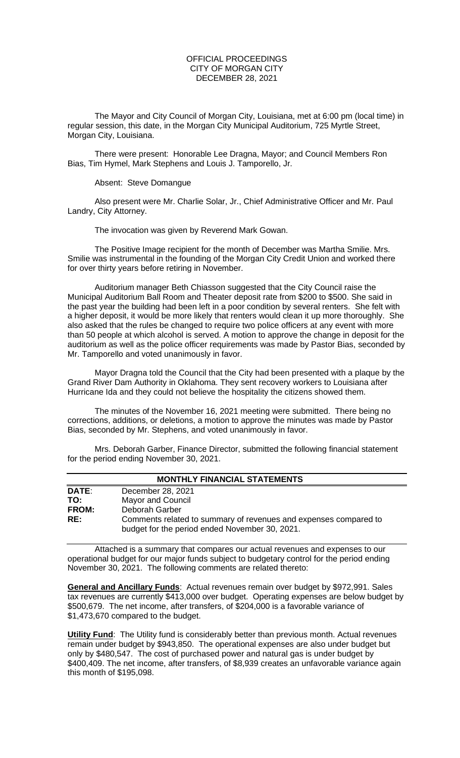# OFFICIAL PROCEEDINGS CITY OF MORGAN CITY DECEMBER 28, 2021

The Mayor and City Council of Morgan City, Louisiana, met at 6:00 pm (local time) in regular session, this date, in the Morgan City Municipal Auditorium, 725 Myrtle Street, Morgan City, Louisiana.

There were present: Honorable Lee Dragna, Mayor; and Council Members Ron Bias, Tim Hymel, Mark Stephens and Louis J. Tamporello, Jr.

Absent: Steve Domangue

Also present were Mr. Charlie Solar, Jr., Chief Administrative Officer and Mr. Paul Landry, City Attorney.

The invocation was given by Reverend Mark Gowan.

The Positive Image recipient for the month of December was Martha Smilie. Mrs. Smilie was instrumental in the founding of the Morgan City Credit Union and worked there for over thirty years before retiring in November.

Auditorium manager Beth Chiasson suggested that the City Council raise the Municipal Auditorium Ball Room and Theater deposit rate from \$200 to \$500. She said in the past year the building had been left in a poor condition by several renters. She felt with a higher deposit, it would be more likely that renters would clean it up more thoroughly. She also asked that the rules be changed to require two police officers at any event with more than 50 people at which alcohol is served. A motion to approve the change in deposit for the auditorium as well as the police officer requirements was made by Pastor Bias, seconded by Mr. Tamporello and voted unanimously in favor.

Mayor Dragna told the Council that the City had been presented with a plaque by the Grand River Dam Authority in Oklahoma. They sent recovery workers to Louisiana after Hurricane Ida and they could not believe the hospitality the citizens showed them.

The minutes of the November 16, 2021 meeting were submitted. There being no corrections, additions, or deletions, a motion to approve the minutes was made by Pastor Bias, seconded by Mr. Stephens, and voted unanimously in favor.

Mrs. Deborah Garber, Finance Director, submitted the following financial statement for the period ending November 30, 2021.

| <b>MONTHLY FINANCIAL STATEMENTS</b> |                                                                                                                    |  |  |
|-------------------------------------|--------------------------------------------------------------------------------------------------------------------|--|--|
| <b>DATE:</b>                        | December 28, 2021                                                                                                  |  |  |
| TO:                                 | <b>Mayor and Council</b>                                                                                           |  |  |
| <b>FROM:</b>                        | Deborah Garber                                                                                                     |  |  |
| RE:                                 | Comments related to summary of revenues and expenses compared to<br>budget for the period ended November 30, 2021. |  |  |

Attached is a summary that compares our actual revenues and expenses to our operational budget for our major funds subject to budgetary control for the period ending November 30, 2021. The following comments are related thereto:

**General and Ancillary Funds**: Actual revenues remain over budget by \$972,991. Sales tax revenues are currently \$413,000 over budget. Operating expenses are below budget by \$500,679. The net income, after transfers, of \$204,000 is a favorable variance of \$1,473,670 compared to the budget.

**Utility Fund**: The Utility fund is considerably better than previous month. Actual revenues remain under budget by \$943,850. The operational expenses are also under budget but only by \$480,547. The cost of purchased power and natural gas is under budget by \$400,409. The net income, after transfers, of \$8,939 creates an unfavorable variance again this month of \$195,098.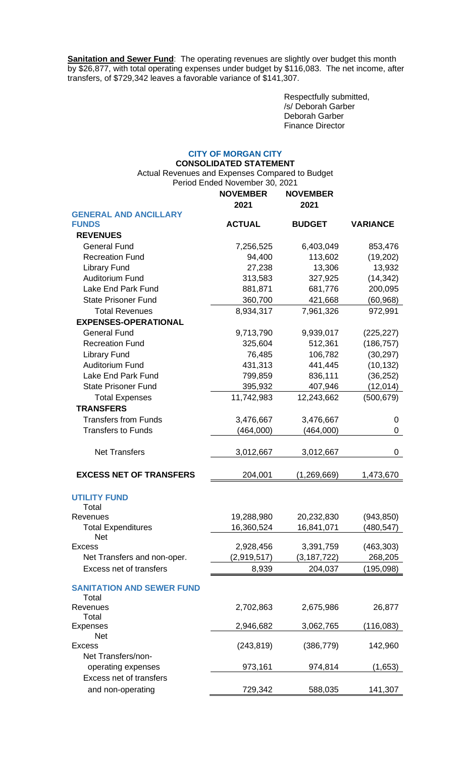**Sanitation and Sewer Fund**: The operating revenues are slightly over budget this month by \$26,877, with total operating expenses under budget by \$116,083. The net income, after transfers, of \$729,342 leaves a favorable variance of \$141,307.

> Respectfully submitted, /s/ Deborah Garber Deborah Garber Finance Director

# **CITY OF MORGAN CITY CONSOLIDATED STATEMENT** Actual Revenues and Expenses Compared to Budget

| Period Ended November 30, 2021   |                 |                 |                 |  |
|----------------------------------|-----------------|-----------------|-----------------|--|
|                                  | <b>NOVEMBER</b> | <b>NOVEMBER</b> |                 |  |
|                                  | 2021            | 2021            |                 |  |
| <b>GENERAL AND ANCILLARY</b>     |                 |                 |                 |  |
| <b>FUNDS</b>                     | <b>ACTUAL</b>   | <b>BUDGET</b>   | <b>VARIANCE</b> |  |
| <b>REVENUES</b>                  |                 |                 |                 |  |
| <b>General Fund</b>              | 7,256,525       | 6,403,049       | 853,476         |  |
| <b>Recreation Fund</b>           | 94,400          | 113,602         | (19,202)        |  |
| <b>Library Fund</b>              | 27,238          | 13,306          | 13,932          |  |
| <b>Auditorium Fund</b>           | 313,583         | 327,925         | (14, 342)       |  |
| Lake End Park Fund               | 881,871         | 681,776         | 200,095         |  |
| <b>State Prisoner Fund</b>       | 360,700         | 421,668         | (60, 968)       |  |
| <b>Total Revenues</b>            | 8,934,317       | 7,961,326       | 972,991         |  |
| <b>EXPENSES-OPERATIONAL</b>      |                 |                 |                 |  |
| <b>General Fund</b>              | 9,713,790       | 9,939,017       | (225, 227)      |  |
| <b>Recreation Fund</b>           | 325,604         | 512,361         | (186, 757)      |  |
| <b>Library Fund</b>              | 76,485          | 106,782         | (30, 297)       |  |
| <b>Auditorium Fund</b>           | 431,313         | 441,445         | (10, 132)       |  |
| Lake End Park Fund               | 799,859         | 836,111         | (36, 252)       |  |
| <b>State Prisoner Fund</b>       | 395,932         | 407,946         | (12,014)        |  |
| <b>Total Expenses</b>            | 11,742,983      | 12,243,662      | (500, 679)      |  |
| <b>TRANSFERS</b>                 |                 |                 |                 |  |
| <b>Transfers from Funds</b>      | 3,476,667       | 3,476,667       | 0               |  |
| <b>Transfers to Funds</b>        | (464,000)       | (464,000)       | 0               |  |
|                                  |                 |                 |                 |  |
| <b>Net Transfers</b>             | 3,012,667       | 3,012,667       | 0               |  |
|                                  |                 |                 |                 |  |
| <b>EXCESS NET OF TRANSFERS</b>   | 204,001         | (1,269,669)     | 1,473,670       |  |
|                                  |                 |                 |                 |  |
| <b>UTILITY FUND</b>              |                 |                 |                 |  |
| Total                            |                 |                 |                 |  |
| Revenues                         | 19,288,980      | 20,232,830      | (943, 850)      |  |
| <b>Total Expenditures</b>        | 16,360,524      | 16,841,071      | (480,547)       |  |
| <b>Net</b>                       |                 |                 |                 |  |
| <b>Excess</b>                    | 2,928,456       | 3,391,759       | (463, 303)      |  |
| Net Transfers and non-oper.      | (2,919,517)     | (3, 187, 722)   | 268,205         |  |
| Excess net of transfers          | 8,939           | 204,037         | (195, 098)      |  |
|                                  |                 |                 |                 |  |
| <b>SANITATION AND SEWER FUND</b> |                 |                 |                 |  |
| Total                            |                 |                 |                 |  |
| Revenues                         | 2,702,863       | 2,675,986       | 26,877          |  |
| Total                            |                 |                 |                 |  |
| <b>Expenses</b>                  | 2,946,682       | 3,062,765       | (116,083)       |  |
| <b>Net</b><br><b>Excess</b>      | (243, 819)      |                 |                 |  |
| Net Transfers/non-               |                 | (386, 779)      | 142,960         |  |
|                                  |                 |                 |                 |  |
| operating expenses               | 973,161         | 974,814         | (1,653)         |  |
| Excess net of transfers          |                 |                 |                 |  |
| and non-operating                | 729,342         | 588,035         | 141,307         |  |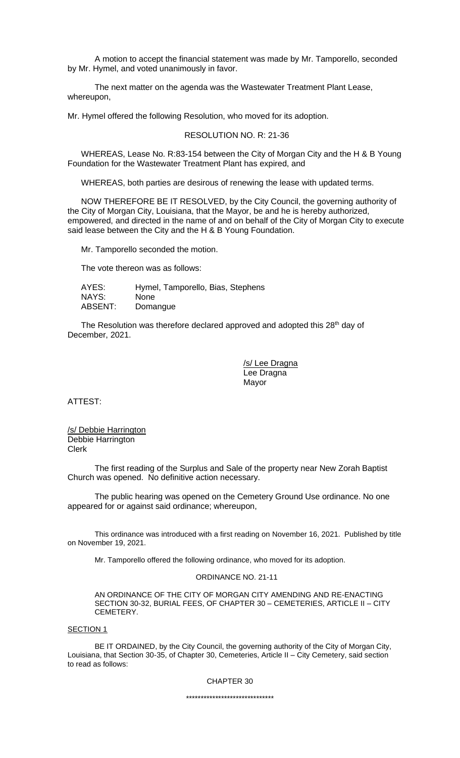A motion to accept the financial statement was made by Mr. Tamporello, seconded by Mr. Hymel, and voted unanimously in favor.

The next matter on the agenda was the Wastewater Treatment Plant Lease, whereupon,

Mr. Hymel offered the following Resolution, who moved for its adoption.

## RESOLUTION NO. R: 21-36

WHEREAS, Lease No. R:83-154 between the City of Morgan City and the H & B Young Foundation for the Wastewater Treatment Plant has expired, and

WHEREAS, both parties are desirous of renewing the lease with updated terms.

NOW THEREFORE BE IT RESOLVED, by the City Council, the governing authority of the City of Morgan City, Louisiana, that the Mayor, be and he is hereby authorized, empowered, and directed in the name of and on behalf of the City of Morgan City to execute said lease between the City and the H & B Young Foundation.

Mr. Tamporello seconded the motion.

The vote thereon was as follows:

AYES: Hymel, Tamporello, Bias, Stephens NAYS: None<br>ABSENT: Doma Domangue

The Resolution was therefore declared approved and adopted this 28<sup>th</sup> day of December, 2021.

> /s/ Lee Dragna Lee Dragna Mayor

ATTEST:

/s/ Debbie Harrington Debbie Harrington Clerk

The first reading of the Surplus and Sale of the property near New Zorah Baptist Church was opened. No definitive action necessary.

The public hearing was opened on the Cemetery Ground Use ordinance. No one appeared for or against said ordinance; whereupon,

This ordinance was introduced with a first reading on November 16, 2021. Published by title on November 19, 2021.

Mr. Tamporello offered the following ordinance, who moved for its adoption.

## ORDINANCE NO. 21-11

AN ORDINANCE OF THE CITY OF MORGAN CITY AMENDING AND RE-ENACTING SECTION 30-32, BURIAL FEES, OF CHAPTER 30 – CEMETERIES, ARTICLE II – CITY CEMETERY.

# SECTION 1

BE IT ORDAINED, by the City Council, the governing authority of the City of Morgan City, Louisiana, that Section 30-35, of Chapter 30, Cemeteries, Article II – City Cemetery, said section to read as follows:

CHAPTER 30

\*\*\*\*\*\*\*\*\*\*\*\*\*\*\*\*\*\*\*\*\*\*\*\*\*\*\*\*\*\*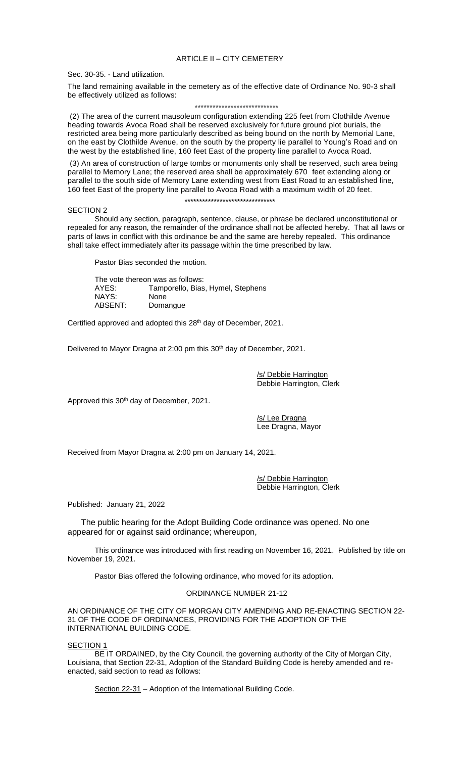Sec. 30-35. - Land utilization.

The land remaining available in the cemetery as of the effective date of Ordinance No. 90-3 shall be effectively utilized as follows:

#### \*\*\*\*\*\*\*\*\*\*\*\*\*\*\*\*\*\*\*\*\*\*\*\*\*\*\*\*

(2) The area of the current mausoleum configuration extending 225 feet from Clothilde Avenue heading towards Avoca Road shall be reserved exclusively for future ground plot burials, the restricted area being more particularly described as being bound on the north by Memorial Lane, on the east by Clothilde Avenue, on the south by the property lie parallel to Young's Road and on the west by the established line, 160 feet East of the property line parallel to Avoca Road.

(3) An area of construction of large tombs or monuments only shall be reserved, such area being parallel to Memory Lane; the reserved area shall be approximately 670 feet extending along or parallel to the south side of Memory Lane extending west from East Road to an established line, 160 feet East of the property line parallel to Avoca Road with a maximum width of 20 feet. \*\*\*\*\*\*\*\*\*\*\*\*\*\*\*\*\*\*\*\*\*\*\*\*\*\*\*\*\*\*\*

### SECTION 2

Should any section, paragraph, sentence, clause, or phrase be declared unconstitutional or repealed for any reason, the remainder of the ordinance shall not be affected hereby. That all laws or parts of laws in conflict with this ordinance be and the same are hereby repealed. This ordinance shall take effect immediately after its passage within the time prescribed by law.

Pastor Bias seconded the motion.

The vote thereon was as follows: AYES: Tamporello, Bias, Hymel, Stephens NAYS: None ABSENT: Domangue

Certified approved and adopted this 28th day of December, 2021.

Delivered to Mayor Dragna at 2:00 pm this 30<sup>th</sup> day of December, 2021.

/s/ Debbie Harrington Debbie Harrington, Clerk

Approved this 30<sup>th</sup> day of December, 2021.

/s/ Lee Dragna Lee Dragna, Mayor

Received from Mayor Dragna at 2:00 pm on January 14, 2021.

/s/ Debbie Harrington Debbie Harrington, Clerk

Published: January 21, 2022

The public hearing for the Adopt Building Code ordinance was opened. No one appeared for or against said ordinance; whereupon,

This ordinance was introduced with first reading on November 16, 2021. Published by title on November 19, 2021.

Pastor Bias offered the following ordinance, who moved for its adoption.

## ORDINANCE NUMBER 21-12

AN ORDINANCE OF THE CITY OF MORGAN CITY AMENDING AND RE-ENACTING SECTION 22- 31 OF THE CODE OF ORDINANCES, PROVIDING FOR THE ADOPTION OF THE INTERNATIONAL BUILDING CODE.

SECTION<sub>1</sub>

BE IT ORDAINED, by the City Council, the governing authority of the City of Morgan City, Louisiana, that Section 22-31, Adoption of the Standard Building Code is hereby amended and reenacted, said section to read as follows:

Section 22-31 - Adoption of the International Building Code.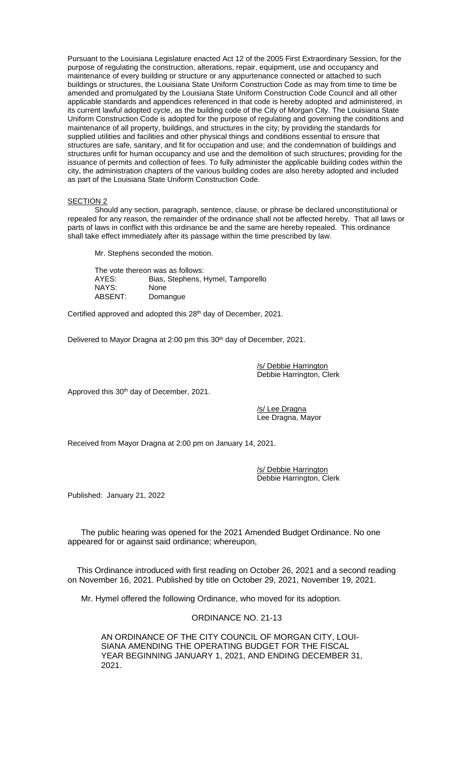Pursuant to the Louisiana Legislature enacted Act 12 of the 2005 First Extraordinary Session, for the purpose of regulating the construction, alterations, repair, equipment, use and occupancy and maintenance of every building or structure or any appurtenance connected or attached to such buildings or structures, the Louisiana State Uniform Construction Code as may from time to time be amended and promulgated by the Louisiana State Uniform Construction Code Council and all other applicable standards and appendices referenced in that code is hereby adopted and administered, in its current lawful adopted cycle, as the building code of the City of Morgan City. The Louisiana State Uniform Construction Code is adopted for the purpose of regulating and governing the conditions and maintenance of all property, buildings, and structures in the city; by providing the standards for supplied utilities and facilities and other physical things and conditions essential to ensure that structures are safe, sanitary, and fit for occupation and use; and the condemnation of buildings and structures unfit for human occupancy and use and the demolition of such structures; providing for the issuance of permits and collection of fees. To fully administer the applicable building codes within the city, the administration chapters of the various building codes are also hereby adopted and included as part of the Louisiana State Uniform Construction Code.

## SECTION<sub>2</sub>

Should any section, paragraph, sentence, clause, or phrase be declared unconstitutional or repealed for any reason, the remainder of the ordinance shall not be affected hereby. That all laws or parts of laws in conflict with this ordinance be and the same are hereby repealed. This ordinance shall take effect immediately after its passage within the time prescribed by law.

Mr. Stephens seconded the motion.

The vote thereon was as follows: AYES: Bias, Stephens, Hymel, Tamporello NAYS: None<br>ABSENT: Doma Domangue

Certified approved and adopted this 28th day of December, 2021.

Delivered to Mayor Dragna at 2:00 pm this 30<sup>th</sup> day of December, 2021.

/s/ Debbie Harrington Debbie Harrington, Clerk

Approved this 30<sup>th</sup> day of December, 2021.

/s/ Lee Dragna Lee Dragna, Mayor

Received from Mayor Dragna at 2:00 pm on January 14, 2021.

/s/ Debbie Harrington Debbie Harrington, Clerk

Published: January 21, 2022

The public hearing was opened for the 2021 Amended Budget Ordinance. No one appeared for or against said ordinance; whereupon,

 This Ordinance introduced with first reading on October 26, 2021 and a second reading on November 16, 2021. Published by title on October 29, 2021, November 19, 2021.

Mr. Hymel offered the following Ordinance, who moved for its adoption.

ORDINANCE NO. 21-13

AN ORDINANCE OF THE CITY COUNCIL OF MORGAN CITY, LOUI-SIANA AMENDING THE OPERATING BUDGET FOR THE FISCAL YEAR BEGINNING JANUARY 1, 2021, AND ENDING DECEMBER 31, 2021.